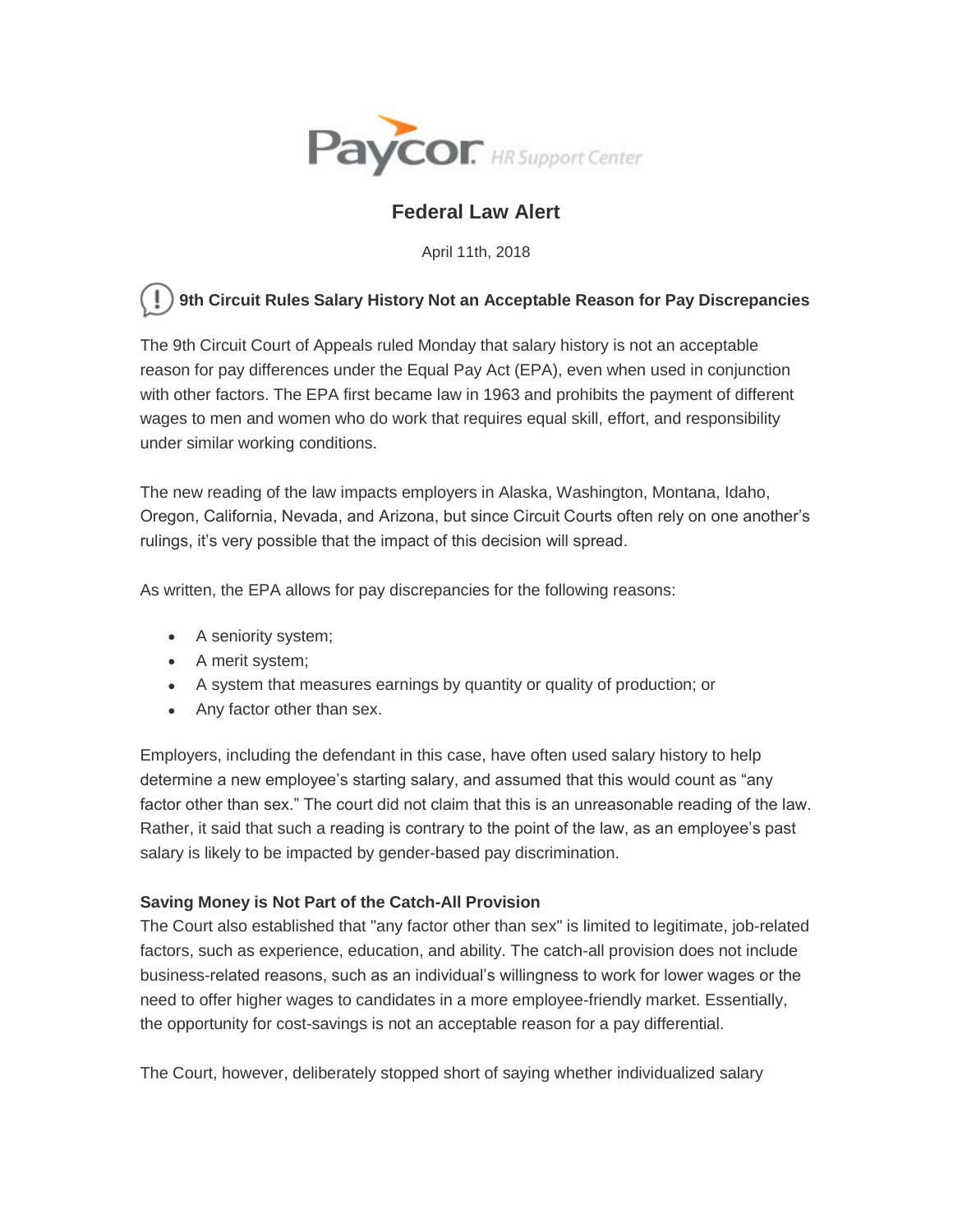

# **Federal Law Alert**

April 11th, 2018

## **9th Circuit Rules Salary History Not an Acceptable Reason for Pay Discrepancies**

The 9th Circuit Court of Appeals ruled Monday that salary history is not an acceptable reason for pay differences under the Equal Pay Act (EPA), even when used in conjunction with other factors. The EPA first became law in 1963 and prohibits the payment of different wages to men and women who do work that requires equal skill, effort, and responsibility under similar working conditions.

The new reading of the law impacts employers in Alaska, Washington, Montana, Idaho, Oregon, California, Nevada, and Arizona, but since Circuit Courts often rely on one another's rulings, it's very possible that the impact of this decision will spread.

As written, the EPA allows for pay discrepancies for the following reasons:

- A seniority system;
- A merit system;
- A system that measures earnings by quantity or quality of production; or
- Any factor other than sex.

Employers, including the defendant in this case, have often used salary history to help determine a new employee's starting salary, and assumed that this would count as "any factor other than sex." The court did not claim that this is an unreasonable reading of the law. Rather, it said that such a reading is contrary to the point of the law, as an employee's past salary is likely to be impacted by gender-based pay discrimination.

## **Saving Money is Not Part of the Catch-All Provision**

The Court also established that "any factor other than sex" is limited to legitimate, job-related factors, such as experience, education, and ability. The catch-all provision does not include business-related reasons, such as an individual's willingness to work for lower wages or the need to offer higher wages to candidates in a more employee-friendly market. Essentially, the opportunity for cost-savings is not an acceptable reason for a pay differential.

The Court, however, deliberately stopped short of saying whether individualized salary